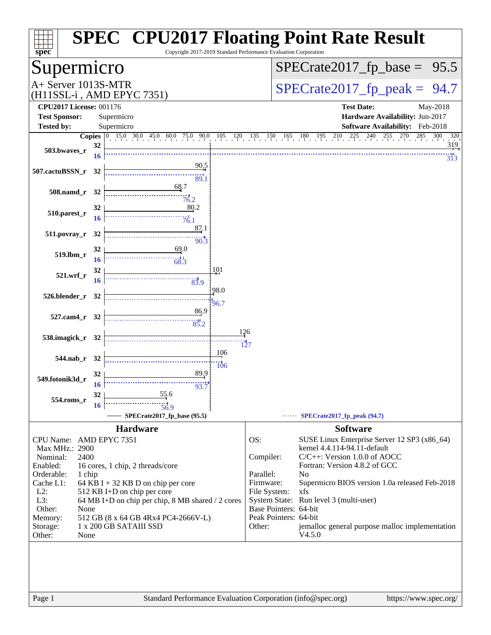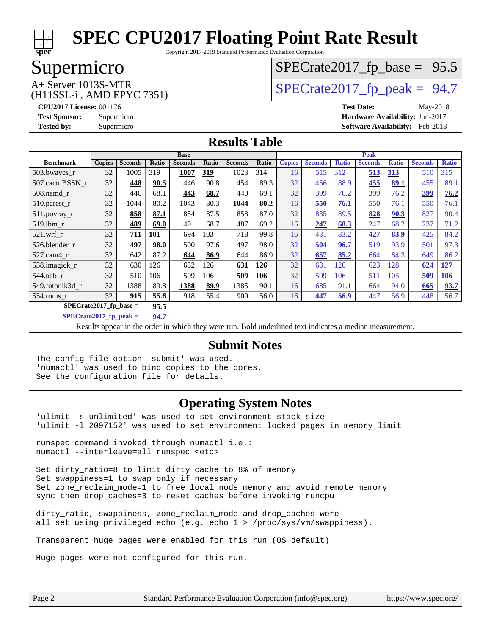

Copyright 2017-2019 Standard Performance Evaluation Corporation

# Supermicro

# $SPECTate2017_fp\_base = 95.5$

### (H11SSL-i , AMD EPYC 7351)

 $A+$  Server 1013S-MTR<br>  $\langle$ H11SSL-i AMD EPYC 7351) [SPECrate2017\\_fp\\_peak =](http://www.spec.org/auto/cpu2017/Docs/result-fields.html#SPECrate2017fppeak) 94.7

**[CPU2017 License:](http://www.spec.org/auto/cpu2017/Docs/result-fields.html#CPU2017License)** 001176 **[Test Date:](http://www.spec.org/auto/cpu2017/Docs/result-fields.html#TestDate)** May-2018 **[Test Sponsor:](http://www.spec.org/auto/cpu2017/Docs/result-fields.html#TestSponsor)** Supermicro **[Hardware Availability:](http://www.spec.org/auto/cpu2017/Docs/result-fields.html#HardwareAvailability)** Jun-2017 **[Tested by:](http://www.spec.org/auto/cpu2017/Docs/result-fields.html#Testedby)** Supermicro **[Software Availability:](http://www.spec.org/auto/cpu2017/Docs/result-fields.html#SoftwareAvailability)** Feb-2018

#### **[Results Table](http://www.spec.org/auto/cpu2017/Docs/result-fields.html#ResultsTable)**

|                          | <b>Base</b>   |                |       |                | <b>Peak</b> |                |            |               |                |              |                |              |                |              |
|--------------------------|---------------|----------------|-------|----------------|-------------|----------------|------------|---------------|----------------|--------------|----------------|--------------|----------------|--------------|
| <b>Benchmark</b>         | <b>Copies</b> | <b>Seconds</b> | Ratio | <b>Seconds</b> | Ratio       | <b>Seconds</b> | Ratio      | <b>Copies</b> | <b>Seconds</b> | <b>Ratio</b> | <b>Seconds</b> | <b>Ratio</b> | <b>Seconds</b> | <b>Ratio</b> |
| 503.bwayes_r             | 32            | 1005           | 319   | 1007           | 319         | 1023           | 314        | 16            | 515            | 312          | <u>513</u>     | 313          | 510            | 315          |
| 507.cactuBSSN r          | 32            | 448            | 90.5  | 446            | 90.8        | 454            | 89.3       | 32            | 456            | 88.9         | 455            | 89.1         | 455            | 89.1         |
| $508$ .namd $r$          | 32            | 446            | 68.1  | 443            | 68.7        | 440            | 69.1       | 32            | 399            | 76.2         | 399            | 76.2         | 399            | 76.2         |
| $510.parest_r$           | 32            | 1044           | 80.2  | 1043           | 80.3        | 1044           | 80.2       | 16            | 550            | 76.1         | 550            | 76.1         | 550            | 76.1         |
| 511.povray_r             | 32            | 858            | 87.1  | 854            | 87.5        | 858            | 87.0       | 32            | 835            | 89.5         | 828            | 90.3         | 827            | 90.4         |
| 519.1bm r                | 32            | 489            | 69.0  | 491            | 68.7        | 487            | 69.2       | 16            | 247            | 68.3         | 247            | 68.2         | 237            | 71.2         |
| $521$ .wrf r             | 32            | 711            | 101   | 694            | 103         | 718            | 99.8       | 16            | 431            | 83.2         | 427            | 83.9         | 425            | 84.2         |
| 526.blender r            | 32            | 497            | 98.0  | 500            | 97.6        | 497            | 98.0       | 32            | 504            | 96.7         | 519            | 93.9         | 501            | 97.3         |
| 527.cam4_r               | 32            | 642            | 87.2  | 644            | 86.9        | 644            | 86.9       | 32            | 657            | 85.2         | 664            | 84.3         | 649            | 86.2         |
| 538.imagick_r            | 32            | 630            | 126   | 632            | 126         | 631            | <b>126</b> | 32            | 631            | 126          | 623            | 128          | 624            | <u>127</u>   |
| 544.nab_r                | 32            | 510            | 106   | 509            | 106         | 509            | 106        | 32            | 509            | 106          | 511            | 105          | 509            | 106          |
| 549.fotonik3d r          | 32            | 1388           | 89.8  | 1388           | 89.9        | 1385           | 90.1       | 16            | 685            | 91.1         | 664            | 94.0         | 665            | 93.7         |
| $554$ .roms r            | 32            | 915            | 55.6  | 918            | 55.4        | 909            | 56.0       | 16            | 447            | 56.9         | 447            | 56.9         | 448            | 56.7         |
| SPECrate2017 fp base $=$ |               |                | 95.5  |                |             |                |            |               |                |              |                |              |                |              |

**[SPECrate2017\\_fp\\_peak =](http://www.spec.org/auto/cpu2017/Docs/result-fields.html#SPECrate2017fppeak) 94.7**

Results appear in the [order in which they were run.](http://www.spec.org/auto/cpu2017/Docs/result-fields.html#RunOrder) Bold underlined text [indicates a median measurement.](http://www.spec.org/auto/cpu2017/Docs/result-fields.html#Median)

#### **[Submit Notes](http://www.spec.org/auto/cpu2017/Docs/result-fields.html#SubmitNotes)**

The config file option 'submit' was used. 'numactl' was used to bind copies to the cores. See the configuration file for details.

#### **[Operating System Notes](http://www.spec.org/auto/cpu2017/Docs/result-fields.html#OperatingSystemNotes)**

'ulimit -s unlimited' was used to set environment stack size 'ulimit -l 2097152' was used to set environment locked pages in memory limit

runspec command invoked through numactl i.e.: numactl --interleave=all runspec <etc>

Set dirty ratio=8 to limit dirty cache to 8% of memory Set swappiness=1 to swap only if necessary Set zone\_reclaim\_mode=1 to free local node memory and avoid remote memory sync then drop\_caches=3 to reset caches before invoking runcpu

dirty\_ratio, swappiness, zone\_reclaim\_mode and drop\_caches were all set using privileged echo (e.g. echo 1 > /proc/sys/vm/swappiness).

Transparent huge pages were enabled for this run (OS default)

Huge pages were not configured for this run.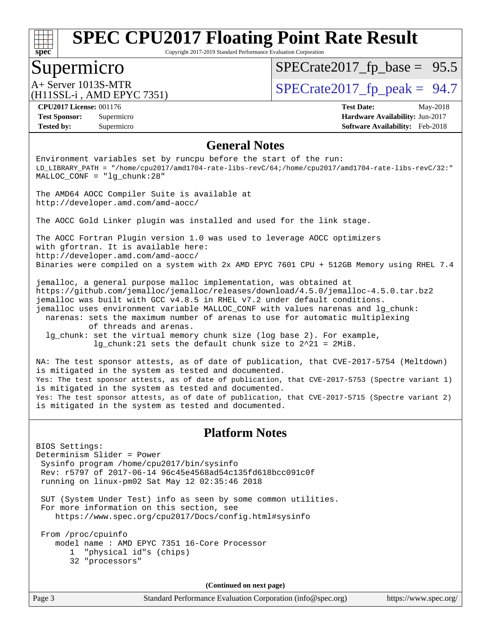

Copyright 2017-2019 Standard Performance Evaluation Corporation

## Supermicro

 $SPECTate2017_fp\_base = 95.5$ 

# (H11SSL-i , AMD EPYC 7351)

 $A+$  Server 1013S-MTR<br>(H11SSL in AMD EPVC 7351)

**[Tested by:](http://www.spec.org/auto/cpu2017/Docs/result-fields.html#Testedby)** Supermicro **[Software Availability:](http://www.spec.org/auto/cpu2017/Docs/result-fields.html#SoftwareAvailability)** Feb-2018

**[CPU2017 License:](http://www.spec.org/auto/cpu2017/Docs/result-fields.html#CPU2017License)** 001176 **[Test Date:](http://www.spec.org/auto/cpu2017/Docs/result-fields.html#TestDate)** May-2018 **[Test Sponsor:](http://www.spec.org/auto/cpu2017/Docs/result-fields.html#TestSponsor)** Supermicro **[Hardware Availability:](http://www.spec.org/auto/cpu2017/Docs/result-fields.html#HardwareAvailability)** Jun-2017

#### **[General Notes](http://www.spec.org/auto/cpu2017/Docs/result-fields.html#GeneralNotes)**

Environment variables set by runcpu before the start of the run: LD\_LIBRARY\_PATH = "/home/cpu2017/amd1704-rate-libs-revC/64;/home/cpu2017/amd1704-rate-libs-revC/32:" MALLOC\_CONF = "lg\_chunk:28"

The AMD64 AOCC Compiler Suite is available at <http://developer.amd.com/amd-aocc/>

The AOCC Gold Linker plugin was installed and used for the link stage.

The AOCC Fortran Plugin version 1.0 was used to leverage AOCC optimizers with gfortran. It is available here: <http://developer.amd.com/amd-aocc/> Binaries were compiled on a system with 2x AMD EPYC 7601 CPU + 512GB Memory using RHEL 7.4

jemalloc, a general purpose malloc implementation, was obtained at <https://github.com/jemalloc/jemalloc/releases/download/4.5.0/jemalloc-4.5.0.tar.bz2> jemalloc was built with GCC v4.8.5 in RHEL v7.2 under default conditions. jemalloc uses environment variable MALLOC\_CONF with values narenas and lg\_chunk: narenas: sets the maximum number of arenas to use for automatic multiplexing of threads and arenas. lg\_chunk: set the virtual memory chunk size (log base 2). For example,

lg\_chunk:21 sets the default chunk size to 2^21 = 2MiB.

NA: The test sponsor attests, as of date of publication, that CVE-2017-5754 (Meltdown) is mitigated in the system as tested and documented. Yes: The test sponsor attests, as of date of publication, that CVE-2017-5753 (Spectre variant 1) is mitigated in the system as tested and documented. Yes: The test sponsor attests, as of date of publication, that CVE-2017-5715 (Spectre variant 2) is mitigated in the system as tested and documented.

#### **[Platform Notes](http://www.spec.org/auto/cpu2017/Docs/result-fields.html#PlatformNotes)**

BIOS Settings: Determinism Slider = Power Sysinfo program /home/cpu2017/bin/sysinfo Rev: r5797 of 2017-06-14 96c45e4568ad54c135fd618bcc091c0f running on linux-pm02 Sat May 12 02:35:46 2018

 SUT (System Under Test) info as seen by some common utilities. For more information on this section, see <https://www.spec.org/cpu2017/Docs/config.html#sysinfo>

 From /proc/cpuinfo model name : AMD EPYC 7351 16-Core Processor 1 "physical id"s (chips) 32 "processors"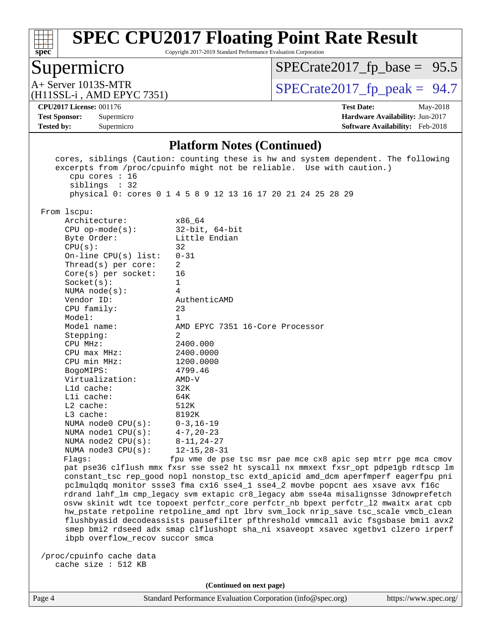

Copyright 2017-2019 Standard Performance Evaluation Corporation

# Supermicro

 $SPECrate2017_fp\_base = 95.5$ 

(H11SSL-i , AMD EPYC 7351)

 $A+$  Server 1013S-MTR<br>  $\langle$ H11SSL-i AMD EPYC 7351) [SPECrate2017\\_fp\\_peak =](http://www.spec.org/auto/cpu2017/Docs/result-fields.html#SPECrate2017fppeak) 94.7

**[Tested by:](http://www.spec.org/auto/cpu2017/Docs/result-fields.html#Testedby)** Supermicro **[Software Availability:](http://www.spec.org/auto/cpu2017/Docs/result-fields.html#SoftwareAvailability)** Feb-2018

**[CPU2017 License:](http://www.spec.org/auto/cpu2017/Docs/result-fields.html#CPU2017License)** 001176 **[Test Date:](http://www.spec.org/auto/cpu2017/Docs/result-fields.html#TestDate)** May-2018 **[Test Sponsor:](http://www.spec.org/auto/cpu2017/Docs/result-fields.html#TestSponsor)** Supermicro **[Hardware Availability:](http://www.spec.org/auto/cpu2017/Docs/result-fields.html#HardwareAvailability)** Jun-2017

#### **[Platform Notes \(Continued\)](http://www.spec.org/auto/cpu2017/Docs/result-fields.html#PlatformNotes)**

| cpu cores : 16<br>siblings : 32                                                      | cores, siblings (Caution: counting these is hw and system dependent. The following<br>excerpts from /proc/cpuinfo might not be reliable. Use with caution.) |  |  |  |  |  |
|--------------------------------------------------------------------------------------|-------------------------------------------------------------------------------------------------------------------------------------------------------------|--|--|--|--|--|
|                                                                                      | physical 0: cores 0 1 4 5 8 9 12 13 16 17 20 21 24 25 28 29                                                                                                 |  |  |  |  |  |
| From lscpu:                                                                          |                                                                                                                                                             |  |  |  |  |  |
| Architecture:                                                                        | x86 64                                                                                                                                                      |  |  |  |  |  |
| $CPU$ op-mode(s):                                                                    | $32$ -bit, $64$ -bit                                                                                                                                        |  |  |  |  |  |
| Byte Order:                                                                          | Little Endian                                                                                                                                               |  |  |  |  |  |
| CPU(s):                                                                              | 32                                                                                                                                                          |  |  |  |  |  |
| On-line $CPU(s)$ list:                                                               | $0 - 31$                                                                                                                                                    |  |  |  |  |  |
| Thread(s) per core:                                                                  | 2                                                                                                                                                           |  |  |  |  |  |
| $Core(s)$ per socket:                                                                | 16                                                                                                                                                          |  |  |  |  |  |
| Socket(s):                                                                           | $\mathbf{1}$                                                                                                                                                |  |  |  |  |  |
| NUMA $node(s):$                                                                      | 4                                                                                                                                                           |  |  |  |  |  |
| Vendor ID:                                                                           | AuthenticAMD                                                                                                                                                |  |  |  |  |  |
| CPU family:                                                                          | 23                                                                                                                                                          |  |  |  |  |  |
| Model:                                                                               | 1                                                                                                                                                           |  |  |  |  |  |
| Model name:                                                                          | AMD EPYC 7351 16-Core Processor                                                                                                                             |  |  |  |  |  |
| Stepping:                                                                            | 2                                                                                                                                                           |  |  |  |  |  |
| CPU MHz:                                                                             | 2400.000                                                                                                                                                    |  |  |  |  |  |
| $CPU$ $max$ $MHz$ :                                                                  | 2400.0000                                                                                                                                                   |  |  |  |  |  |
| CPU min MHz:                                                                         | 1200.0000                                                                                                                                                   |  |  |  |  |  |
| BogoMIPS:                                                                            | 4799.46                                                                                                                                                     |  |  |  |  |  |
| Virtualization:                                                                      | $AMD-V$                                                                                                                                                     |  |  |  |  |  |
| $L1d$ cache:                                                                         | 32K                                                                                                                                                         |  |  |  |  |  |
| Lli cache:                                                                           | 64K                                                                                                                                                         |  |  |  |  |  |
| $L2$ cache:                                                                          | 512K                                                                                                                                                        |  |  |  |  |  |
| L3 cache:                                                                            | 8192K                                                                                                                                                       |  |  |  |  |  |
| NUMA $node0$ $CPU(s)$ :                                                              | $0 - 3$ , 16-19                                                                                                                                             |  |  |  |  |  |
| NUMA nodel CPU(s):                                                                   | $4 - 7$ , 20-23                                                                                                                                             |  |  |  |  |  |
| NUMA $node2$ $CPU(s):$                                                               | $8 - 11, 24 - 27$                                                                                                                                           |  |  |  |  |  |
| NUMA $node3$ CPU $(s)$ :                                                             | $12 - 15, 28 - 31$                                                                                                                                          |  |  |  |  |  |
| Flags:                                                                               | fpu vme de pse tsc msr pae mce cx8 apic sep mtrr pge mca cmov                                                                                               |  |  |  |  |  |
|                                                                                      | pat pse36 clflush mmx fxsr sse sse2 ht syscall nx mmxext fxsr_opt pdpe1gb rdtscp lm                                                                         |  |  |  |  |  |
|                                                                                      | constant_tsc rep_good nopl nonstop_tsc extd_apicid amd_dcm aperfmperf eagerfpu pni                                                                          |  |  |  |  |  |
| pclmulqdq monitor ssse3 fma cx16 sse4_1 sse4_2 movbe popcnt aes xsave avx f16c       |                                                                                                                                                             |  |  |  |  |  |
| rdrand lahf_lm cmp_legacy svm extapic cr8_legacy abm sse4a misalignsse 3dnowprefetch |                                                                                                                                                             |  |  |  |  |  |
| osvw skinit wdt tce topoext perfctr_core perfctr_nb bpext perfctr_12 mwaitx arat cpb |                                                                                                                                                             |  |  |  |  |  |
| hw_pstate retpoline retpoline_amd npt lbrv svm_lock nrip_save tsc_scale vmcb_clean   |                                                                                                                                                             |  |  |  |  |  |
| flushbyasid decodeassists pausefilter pfthreshold vmmcall avic fsgsbase bmil avx2    |                                                                                                                                                             |  |  |  |  |  |
| smep bmi2 rdseed adx smap clflushopt sha_ni xsaveopt xsavec xgetbvl clzero irperf    |                                                                                                                                                             |  |  |  |  |  |
| ibpb overflow_recov succor smca                                                      |                                                                                                                                                             |  |  |  |  |  |
|                                                                                      |                                                                                                                                                             |  |  |  |  |  |
| /proc/cpuinfo cache data                                                             |                                                                                                                                                             |  |  |  |  |  |
| cache size : 512 KB                                                                  |                                                                                                                                                             |  |  |  |  |  |
|                                                                                      |                                                                                                                                                             |  |  |  |  |  |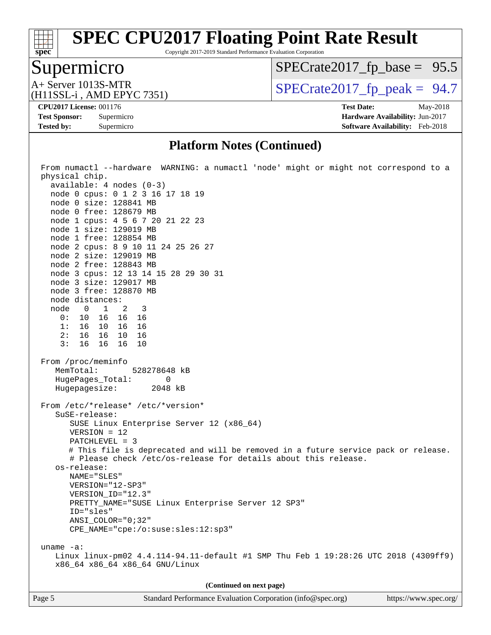#### $\pm$ **[spec](http://www.spec.org/)**

# **[SPEC CPU2017 Floating Point Rate Result](http://www.spec.org/auto/cpu2017/Docs/result-fields.html#SPECCPU2017FloatingPointRateResult)**

Copyright 2017-2019 Standard Performance Evaluation Corporation

# Supermicro

 $SPECrate2017_fp\_base = 95.5$ 

(H11SSL-i , AMD EPYC 7351)

 $A+$  Server 1013S-MTR<br>  $\langle$ H11SSL-i AMD EPYC 7351) [SPECrate2017\\_fp\\_peak =](http://www.spec.org/auto/cpu2017/Docs/result-fields.html#SPECrate2017fppeak) 94.7

**[Tested by:](http://www.spec.org/auto/cpu2017/Docs/result-fields.html#Testedby)** Supermicro **[Software Availability:](http://www.spec.org/auto/cpu2017/Docs/result-fields.html#SoftwareAvailability)** Feb-2018

**[CPU2017 License:](http://www.spec.org/auto/cpu2017/Docs/result-fields.html#CPU2017License)** 001176 **[Test Date:](http://www.spec.org/auto/cpu2017/Docs/result-fields.html#TestDate)** May-2018 **[Test Sponsor:](http://www.spec.org/auto/cpu2017/Docs/result-fields.html#TestSponsor)** Supermicro **[Hardware Availability:](http://www.spec.org/auto/cpu2017/Docs/result-fields.html#HardwareAvailability)** Jun-2017

#### **[Platform Notes \(Continued\)](http://www.spec.org/auto/cpu2017/Docs/result-fields.html#PlatformNotes)**

| From numactl --hardware WARNING: a numactl 'node' might or might not correspond to a<br>physical chip.<br>$available: 4 nodes (0-3)$<br>node 0 cpus: 0 1 2 3 16 17 18 19<br>node 0 size: 128841 MB<br>node 0 free: 128679 MB<br>node 1 cpus: 4 5 6 7 20 21 22 23<br>node 1 size: 129019 MB<br>node 1 free: 128854 MB<br>node 2 cpus: 8 9 10 11 24 25 26 27<br>node 2 size: 129019 MB<br>node 2 free: 128843 MB<br>node 3 cpus: 12 13 14 15 28 29 30 31<br>node 3 size: 129017 MB<br>node 3 free: 128870 MB<br>node distances:<br>node 0 1 2 3<br>0: 10 16 16 16<br>1: 16 10 16 16<br>2: 16 16 10 16<br>3:<br>16 16 16 10<br>From /proc/meminfo |
|------------------------------------------------------------------------------------------------------------------------------------------------------------------------------------------------------------------------------------------------------------------------------------------------------------------------------------------------------------------------------------------------------------------------------------------------------------------------------------------------------------------------------------------------------------------------------------------------------------------------------------------------|
| MemTotal:<br>528278648 kB                                                                                                                                                                                                                                                                                                                                                                                                                                                                                                                                                                                                                      |
| HugePages_Total: 0<br>Hugepagesize: 2048 kB                                                                                                                                                                                                                                                                                                                                                                                                                                                                                                                                                                                                    |
| From /etc/*release* /etc/*version*<br>SuSE-release:<br>SUSE Linux Enterprise Server 12 (x86_64)<br>$VERSION = 12$<br>PATCHLEVEL = 3<br># This file is deprecated and will be removed in a future service pack or release.<br># Please check /etc/os-release for details about this release.<br>os-release:<br>NAME="SLES"<br>VERSION="12-SP3"<br>VERSION_ID="12.3"<br>PRETTY_NAME="SUSE Linux Enterprise Server 12 SP3"<br>ID="sles"<br>ANSI_COLOR="0;32"<br>CPE_NAME="cpe:/o:suse:sles:12:sp3"<br>uname $-a$ :                                                                                                                                |
| Linux linux-pm02 4.4.114-94.11-default #1 SMP Thu Feb 1 19:28:26 UTC 2018 (4309ff9)<br>x86_64 x86_64 x86_64 GNU/Linux                                                                                                                                                                                                                                                                                                                                                                                                                                                                                                                          |
|                                                                                                                                                                                                                                                                                                                                                                                                                                                                                                                                                                                                                                                |
| (Continued on next page)                                                                                                                                                                                                                                                                                                                                                                                                                                                                                                                                                                                                                       |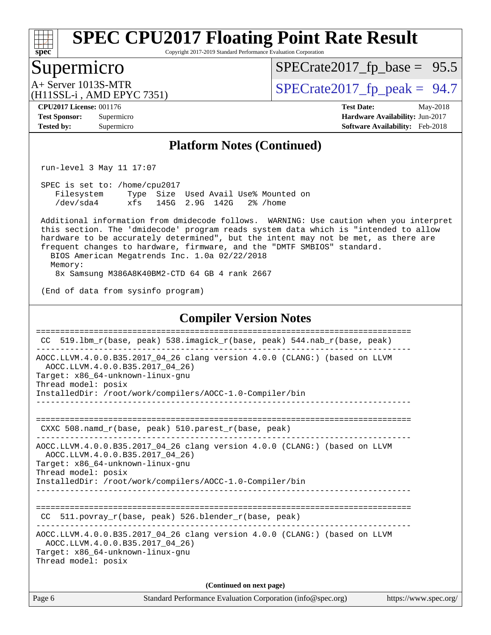

Copyright 2017-2019 Standard Performance Evaluation Corporation

### Supermicro

 $SPECrate2017_fp\_base = 95.5$ 

# (H11SSL-i , AMD EPYC 7351)

 $A+$  Server 1013S-MTR<br>  $\langle$ H11SSL-i AMD EPYC 7351) [SPECrate2017\\_fp\\_peak =](http://www.spec.org/auto/cpu2017/Docs/result-fields.html#SPECrate2017fppeak) 94.7

**[CPU2017 License:](http://www.spec.org/auto/cpu2017/Docs/result-fields.html#CPU2017License)** 001176 **[Test Date:](http://www.spec.org/auto/cpu2017/Docs/result-fields.html#TestDate)** May-2018 **[Test Sponsor:](http://www.spec.org/auto/cpu2017/Docs/result-fields.html#TestSponsor)** Supermicro **[Hardware Availability:](http://www.spec.org/auto/cpu2017/Docs/result-fields.html#HardwareAvailability)** Jun-2017 **[Tested by:](http://www.spec.org/auto/cpu2017/Docs/result-fields.html#Testedby)** Supermicro **[Software Availability:](http://www.spec.org/auto/cpu2017/Docs/result-fields.html#SoftwareAvailability)** Feb-2018

#### **[Platform Notes \(Continued\)](http://www.spec.org/auto/cpu2017/Docs/result-fields.html#PlatformNotes)**

run-level 3 May 11 17:07

 SPEC is set to: /home/cpu2017 Filesystem Type Size Used Avail Use% Mounted on /dev/sda4 xfs 145G 2.9G 142G 2% /home

 Additional information from dmidecode follows. WARNING: Use caution when you interpret this section. The 'dmidecode' program reads system data which is "intended to allow hardware to be accurately determined", but the intent may not be met, as there are frequent changes to hardware, firmware, and the "DMTF SMBIOS" standard. BIOS American Megatrends Inc. 1.0a 02/22/2018

 Memory: 8x Samsung M386A8K40BM2-CTD 64 GB 4 rank 2667

(End of data from sysinfo program)

#### **[Compiler Version Notes](http://www.spec.org/auto/cpu2017/Docs/result-fields.html#CompilerVersionNotes)**

| CC.    | 519.1bm_r(base, peak) 538.imagick_r(base, peak) 544.nab_r(base, peak)                                                                                                                                                                |
|--------|--------------------------------------------------------------------------------------------------------------------------------------------------------------------------------------------------------------------------------------|
|        | AOCC.LLVM.4.0.0.B35.2017_04_26 clang version 4.0.0 (CLANG:) (based on LLVM<br>AOCC.LLVM.4.0.0.B35.2017 04 26)<br>Target: x86 64-unknown-linux-gnu<br>Thread model: posix<br>InstalledDir: /root/work/compilers/AOCC-1.0-Compiler/bin |
|        | CXXC $508.namd_r(base, peak)$ $510.parest_r(base, peak)$                                                                                                                                                                             |
|        | AOCC.LLVM.4.0.0.B35.2017_04_26 clang version 4.0.0 (CLANG:) (based on LLVM<br>AOCC.LLVM.4.0.0.B35.2017 04 26)<br>Target: x86_64-unknown-linux-gnu<br>Thread model: posix<br>InstalledDir: /root/work/compilers/AOCC-1.0-Compiler/bin |
| CC.    | 511.povray_r(base, peak) 526.blender_r(base, peak)                                                                                                                                                                                   |
|        | AOCC.LLVM.4.0.0.B35.2017_04_26 clang version 4.0.0 (CLANG:) (based on LLVM<br>AOCC.LLVM.4.0.0.B35.2017 04 26)<br>Target: x86_64-unknown-linux-gnu<br>Thread model: posix                                                             |
|        | (Continued on next page)                                                                                                                                                                                                             |
| Page 6 | Standard Performance Evaluation Corporation (info@spec.org)<br>https://www.spec.org/                                                                                                                                                 |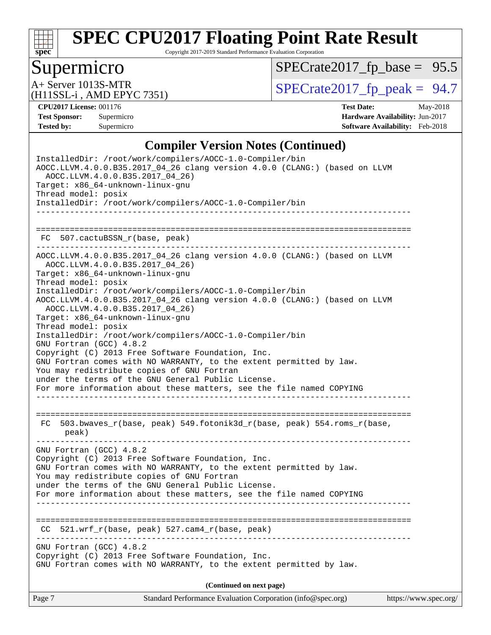

Copyright 2017-2019 Standard Performance Evaluation Corporation

# Supermicro

 $SPECrate2017_fp\_base = 95.5$ 

(H11SSL-i , AMD EPYC 7351)

 $A+$  Server 1013S-MTR<br>  $\langle$ H11SSL-i AMD EPYC 7351) [SPECrate2017\\_fp\\_peak =](http://www.spec.org/auto/cpu2017/Docs/result-fields.html#SPECrate2017fppeak) 94.7

**[CPU2017 License:](http://www.spec.org/auto/cpu2017/Docs/result-fields.html#CPU2017License)** 001176 **[Test Date:](http://www.spec.org/auto/cpu2017/Docs/result-fields.html#TestDate)** May-2018 **[Test Sponsor:](http://www.spec.org/auto/cpu2017/Docs/result-fields.html#TestSponsor)** Supermicro **[Hardware Availability:](http://www.spec.org/auto/cpu2017/Docs/result-fields.html#HardwareAvailability)** Jun-2017 **[Tested by:](http://www.spec.org/auto/cpu2017/Docs/result-fields.html#Testedby)** Supermicro **[Software Availability:](http://www.spec.org/auto/cpu2017/Docs/result-fields.html#SoftwareAvailability)** Feb-2018

#### **[Compiler Version Notes \(Continued\)](http://www.spec.org/auto/cpu2017/Docs/result-fields.html#CompilerVersionNotes)**

| Standard Performance Evaluation Corporation (info@spec.org)<br>Page 7                                                                                                                                                                                                                                                                                                                       | https://www.spec.org/ |
|---------------------------------------------------------------------------------------------------------------------------------------------------------------------------------------------------------------------------------------------------------------------------------------------------------------------------------------------------------------------------------------------|-----------------------|
| (Continued on next page)                                                                                                                                                                                                                                                                                                                                                                    |                       |
| GNU Fortran (GCC) 4.8.2<br>Copyright (C) 2013 Free Software Foundation, Inc.<br>GNU Fortran comes with NO WARRANTY, to the extent permitted by law.                                                                                                                                                                                                                                         |                       |
| $521.wrf_r(base, peak)$ 527.cam4 $r(base, peak)$<br>CC.                                                                                                                                                                                                                                                                                                                                     |                       |
| For more information about these matters, see the file named COPYING                                                                                                                                                                                                                                                                                                                        |                       |
| GNU Fortran comes with NO WARRANTY, to the extent permitted by law.<br>You may redistribute copies of GNU Fortran<br>under the terms of the GNU General Public License.                                                                                                                                                                                                                     |                       |
| GNU Fortran (GCC) 4.8.2<br>Copyright (C) 2013 Free Software Foundation, Inc.                                                                                                                                                                                                                                                                                                                |                       |
| FC 503.bwaves_r(base, peak) 549.fotonik3d_r(base, peak) 554.roms_r(base,<br>peak)                                                                                                                                                                                                                                                                                                           |                       |
| InstalledDir: /root/work/compilers/AOCC-1.0-Compiler/bin<br>GNU Fortran (GCC) 4.8.2<br>Copyright (C) 2013 Free Software Foundation, Inc.<br>GNU Fortran comes with NO WARRANTY, to the extent permitted by law.<br>You may redistribute copies of GNU Fortran<br>under the terms of the GNU General Public License.<br>For more information about these matters, see the file named COPYING |                       |
| AOCC.LLVM.4.0.0.B35.2017 04 26)<br>Target: x86_64-unknown-linux-gnu<br>Thread model: posix                                                                                                                                                                                                                                                                                                  |                       |
| Target: x86_64-unknown-linux-gnu<br>Thread model: posix<br>InstalledDir: /root/work/compilers/AOCC-1.0-Compiler/bin<br>AOCC.LLVM.4.0.0.B35.2017_04_26 clang version 4.0.0 (CLANG:) (based on LLVM                                                                                                                                                                                           |                       |
| ------------------------------<br>AOCC.LLVM.4.0.0.B35.2017_04_26 clang version 4.0.0 (CLANG:) (based on LLVM<br>AOCC.LLVM.4.0.0.B35.2017_04_26)                                                                                                                                                                                                                                             |                       |
| FC 507.cactuBSSN_r(base, peak)                                                                                                                                                                                                                                                                                                                                                              |                       |
| InstalledDir: /root/work/compilers/AOCC-1.0-Compiler/bin                                                                                                                                                                                                                                                                                                                                    |                       |
| InstalledDir: /root/work/compilers/AOCC-1.0-Compiler/bin<br>AOCC.LLVM.4.0.0.B35.2017_04_26 clang version 4.0.0 (CLANG:) (based on LLVM<br>AOCC.LLVM.4.0.0.B35.2017_04_26)<br>Target: x86_64-unknown-linux-gnu<br>Thread model: posix                                                                                                                                                        |                       |
|                                                                                                                                                                                                                                                                                                                                                                                             |                       |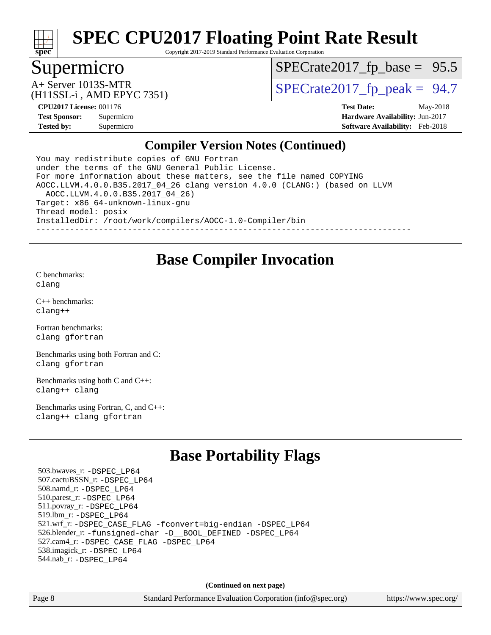

Copyright 2017-2019 Standard Performance Evaluation Corporation

### Supermicro

 $SPECTate2017_fp\_base = 95.5$ 

(H11SSL-i , AMD EPYC 7351)

 $A+$  Server 1013S-MTR<br>(H11SSL in AMD EPVC 7351)

**[CPU2017 License:](http://www.spec.org/auto/cpu2017/Docs/result-fields.html#CPU2017License)** 001176 **[Test Date:](http://www.spec.org/auto/cpu2017/Docs/result-fields.html#TestDate)** May-2018 **[Test Sponsor:](http://www.spec.org/auto/cpu2017/Docs/result-fields.html#TestSponsor)** Supermicro **[Hardware Availability:](http://www.spec.org/auto/cpu2017/Docs/result-fields.html#HardwareAvailability)** Jun-2017 **[Tested by:](http://www.spec.org/auto/cpu2017/Docs/result-fields.html#Testedby)** Supermicro **[Software Availability:](http://www.spec.org/auto/cpu2017/Docs/result-fields.html#SoftwareAvailability)** Feb-2018

#### **[Compiler Version Notes \(Continued\)](http://www.spec.org/auto/cpu2017/Docs/result-fields.html#CompilerVersionNotes)**

You may redistribute copies of GNU Fortran under the terms of the GNU General Public License. For more information about these matters, see the file named COPYING AOCC.LLVM.4.0.0.B35.2017\_04\_26 clang version 4.0.0 (CLANG:) (based on LLVM AOCC.LLVM.4.0.0.B35.2017\_04\_26) Target: x86\_64-unknown-linux-gnu Thread model: posix InstalledDir: /root/work/compilers/AOCC-1.0-Compiler/bin ------------------------------------------------------------------------------

### **[Base Compiler Invocation](http://www.spec.org/auto/cpu2017/Docs/result-fields.html#BaseCompilerInvocation)**

[C benchmarks](http://www.spec.org/auto/cpu2017/Docs/result-fields.html#Cbenchmarks): [clang](http://www.spec.org/cpu2017/results/res2018q2/cpu2017-20180529-06178.flags.html#user_CCbase_Fclang3)

[C++ benchmarks:](http://www.spec.org/auto/cpu2017/Docs/result-fields.html#CXXbenchmarks) [clang++](http://www.spec.org/cpu2017/results/res2018q2/cpu2017-20180529-06178.flags.html#user_CXXbase_Fclang3_57a48582e5be507d19b2527b3e7d4f85d9b8669ffc9a8a0dbb9bcf949a918a58bbab411e0c4d14a3922022a3e425a90db94042683824c1806feff4324ca1000d)

[Fortran benchmarks](http://www.spec.org/auto/cpu2017/Docs/result-fields.html#Fortranbenchmarks): [clang](http://www.spec.org/cpu2017/results/res2018q2/cpu2017-20180529-06178.flags.html#user_FCbase_Fclang3) [gfortran](http://www.spec.org/cpu2017/results/res2018q2/cpu2017-20180529-06178.flags.html#user_FCbase_gfortran)

[Benchmarks using both Fortran and C](http://www.spec.org/auto/cpu2017/Docs/result-fields.html#BenchmarksusingbothFortranandC): [clang](http://www.spec.org/cpu2017/results/res2018q2/cpu2017-20180529-06178.flags.html#user_CC_FCbase_Fclang3) [gfortran](http://www.spec.org/cpu2017/results/res2018q2/cpu2017-20180529-06178.flags.html#user_CC_FCbase_gfortran)

[Benchmarks using both C and C++](http://www.spec.org/auto/cpu2017/Docs/result-fields.html#BenchmarksusingbothCandCXX): [clang++](http://www.spec.org/cpu2017/results/res2018q2/cpu2017-20180529-06178.flags.html#user_CC_CXXbase_Fclang3_57a48582e5be507d19b2527b3e7d4f85d9b8669ffc9a8a0dbb9bcf949a918a58bbab411e0c4d14a3922022a3e425a90db94042683824c1806feff4324ca1000d) [clang](http://www.spec.org/cpu2017/results/res2018q2/cpu2017-20180529-06178.flags.html#user_CC_CXXbase_Fclang3)

[Benchmarks using Fortran, C, and C++:](http://www.spec.org/auto/cpu2017/Docs/result-fields.html#BenchmarksusingFortranCandCXX) [clang++](http://www.spec.org/cpu2017/results/res2018q2/cpu2017-20180529-06178.flags.html#user_CC_CXX_FCbase_Fclang3_57a48582e5be507d19b2527b3e7d4f85d9b8669ffc9a8a0dbb9bcf949a918a58bbab411e0c4d14a3922022a3e425a90db94042683824c1806feff4324ca1000d) [clang](http://www.spec.org/cpu2017/results/res2018q2/cpu2017-20180529-06178.flags.html#user_CC_CXX_FCbase_Fclang3) [gfortran](http://www.spec.org/cpu2017/results/res2018q2/cpu2017-20180529-06178.flags.html#user_CC_CXX_FCbase_gfortran)

## **[Base Portability Flags](http://www.spec.org/auto/cpu2017/Docs/result-fields.html#BasePortabilityFlags)**

 503.bwaves\_r: [-DSPEC\\_LP64](http://www.spec.org/cpu2017/results/res2018q2/cpu2017-20180529-06178.flags.html#suite_baseEXTRA_PORTABILITY503_bwaves_r_DSPEC_LP64) 507.cactuBSSN\_r: [-DSPEC\\_LP64](http://www.spec.org/cpu2017/results/res2018q2/cpu2017-20180529-06178.flags.html#suite_baseEXTRA_PORTABILITY507_cactuBSSN_r_DSPEC_LP64) 508.namd\_r: [-DSPEC\\_LP64](http://www.spec.org/cpu2017/results/res2018q2/cpu2017-20180529-06178.flags.html#suite_baseEXTRA_PORTABILITY508_namd_r_DSPEC_LP64) 510.parest\_r: [-DSPEC\\_LP64](http://www.spec.org/cpu2017/results/res2018q2/cpu2017-20180529-06178.flags.html#suite_baseEXTRA_PORTABILITY510_parest_r_DSPEC_LP64) 511.povray\_r: [-DSPEC\\_LP64](http://www.spec.org/cpu2017/results/res2018q2/cpu2017-20180529-06178.flags.html#suite_baseEXTRA_PORTABILITY511_povray_r_DSPEC_LP64) 519.lbm\_r: [-DSPEC\\_LP64](http://www.spec.org/cpu2017/results/res2018q2/cpu2017-20180529-06178.flags.html#suite_baseEXTRA_PORTABILITY519_lbm_r_DSPEC_LP64) 521.wrf\_r: [-DSPEC\\_CASE\\_FLAG](http://www.spec.org/cpu2017/results/res2018q2/cpu2017-20180529-06178.flags.html#b521.wrf_r_baseCPORTABILITY_DSPEC_CASE_FLAG) [-fconvert=big-endian](http://www.spec.org/cpu2017/results/res2018q2/cpu2017-20180529-06178.flags.html#user_baseFPORTABILITY521_wrf_r_F-fconvert:big-endian) [-DSPEC\\_LP64](http://www.spec.org/cpu2017/results/res2018q2/cpu2017-20180529-06178.flags.html#suite_baseEXTRA_PORTABILITY521_wrf_r_DSPEC_LP64) 526.blender\_r: [-funsigned-char](http://www.spec.org/cpu2017/results/res2018q2/cpu2017-20180529-06178.flags.html#user_baseCPORTABILITY526_blender_r_F-funsigned-char) [-D\\_\\_BOOL\\_DEFINED](http://www.spec.org/cpu2017/results/res2018q2/cpu2017-20180529-06178.flags.html#b526.blender_r_baseCXXPORTABILITY_D__BOOL_DEFINED) [-DSPEC\\_LP64](http://www.spec.org/cpu2017/results/res2018q2/cpu2017-20180529-06178.flags.html#suite_baseEXTRA_PORTABILITY526_blender_r_DSPEC_LP64) 527.cam4\_r: [-DSPEC\\_CASE\\_FLAG](http://www.spec.org/cpu2017/results/res2018q2/cpu2017-20180529-06178.flags.html#b527.cam4_r_basePORTABILITY_DSPEC_CASE_FLAG) [-DSPEC\\_LP64](http://www.spec.org/cpu2017/results/res2018q2/cpu2017-20180529-06178.flags.html#suite_baseEXTRA_PORTABILITY527_cam4_r_DSPEC_LP64) 538.imagick\_r: [-DSPEC\\_LP64](http://www.spec.org/cpu2017/results/res2018q2/cpu2017-20180529-06178.flags.html#suite_baseEXTRA_PORTABILITY538_imagick_r_DSPEC_LP64) 544.nab\_r: [-DSPEC\\_LP64](http://www.spec.org/cpu2017/results/res2018q2/cpu2017-20180529-06178.flags.html#suite_baseEXTRA_PORTABILITY544_nab_r_DSPEC_LP64)

**(Continued on next page)**

Page 8 Standard Performance Evaluation Corporation [\(info@spec.org\)](mailto:info@spec.org) <https://www.spec.org/>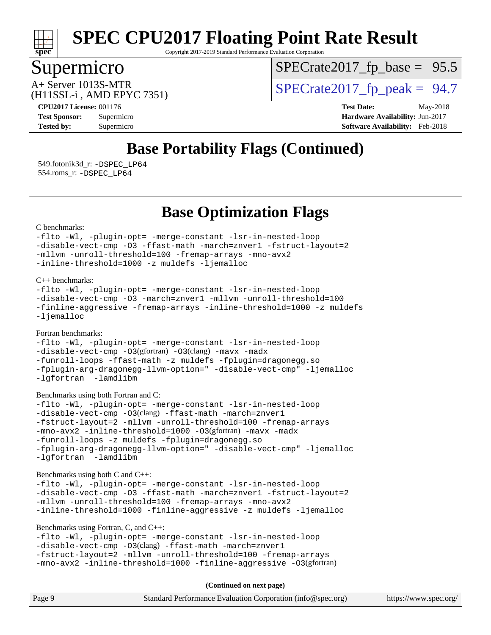

Copyright 2017-2019 Standard Performance Evaluation Corporation

## Supermicro

 $SPECTate2017_fp\_base = 95.5$ 

(H11SSL-i , AMD EPYC 7351)

 $A+$  Server 1013S-MTR<br>  $\langle$ H11SSL-i AMD EPYC 7351) [SPECrate2017\\_fp\\_peak =](http://www.spec.org/auto/cpu2017/Docs/result-fields.html#SPECrate2017fppeak) 94.7

**[CPU2017 License:](http://www.spec.org/auto/cpu2017/Docs/result-fields.html#CPU2017License)** 001176 **[Test Date:](http://www.spec.org/auto/cpu2017/Docs/result-fields.html#TestDate)** May-2018 **[Test Sponsor:](http://www.spec.org/auto/cpu2017/Docs/result-fields.html#TestSponsor)** Supermicro **[Hardware Availability:](http://www.spec.org/auto/cpu2017/Docs/result-fields.html#HardwareAvailability)** Jun-2017 **[Tested by:](http://www.spec.org/auto/cpu2017/Docs/result-fields.html#Testedby)** Supermicro **[Software Availability:](http://www.spec.org/auto/cpu2017/Docs/result-fields.html#SoftwareAvailability)** Feb-2018

# **[Base Portability Flags \(Continued\)](http://www.spec.org/auto/cpu2017/Docs/result-fields.html#BasePortabilityFlags)**

 549.fotonik3d\_r: [-DSPEC\\_LP64](http://www.spec.org/cpu2017/results/res2018q2/cpu2017-20180529-06178.flags.html#suite_baseEXTRA_PORTABILITY549_fotonik3d_r_DSPEC_LP64) 554.roms\_r: [-DSPEC\\_LP64](http://www.spec.org/cpu2017/results/res2018q2/cpu2017-20180529-06178.flags.html#suite_baseEXTRA_PORTABILITY554_roms_r_DSPEC_LP64)

**[Base Optimization Flags](http://www.spec.org/auto/cpu2017/Docs/result-fields.html#BaseOptimizationFlags)**

[C benchmarks](http://www.spec.org/auto/cpu2017/Docs/result-fields.html#Cbenchmarks):

```
-flto -Wl, -plugin-opt= -merge-constant -lsr-in-nested-loop
-disable-vect-cmp -O3 -ffast-math -march=znver1 -fstruct-layout=2
-mllvm -unroll-threshold=100 -fremap-arrays -mno-avx2
-inline-threshold=1000 -z muldefs -ljemalloc
```
[C++ benchmarks:](http://www.spec.org/auto/cpu2017/Docs/result-fields.html#CXXbenchmarks)

```
-flto -Wl, -plugin-opt= -merge-constant -lsr-in-nested-loop
-disable-vect-cmp -O3 -march=znver1 -mllvm -unroll-threshold=100
-finline-aggressive -fremap-arrays -inline-threshold=1000 -z muldefs
-ljemalloc
```
[Fortran benchmarks](http://www.spec.org/auto/cpu2017/Docs/result-fields.html#Fortranbenchmarks):

```
-flto -Wl, -plugin-opt= -merge-constant -lsr-in-nested-loop
-disable-vect-cmp -O3(gfortran) -O3(clang) -mavx -madx
-funroll-loops -ffast-math -z muldefs -fplugin=dragonegg.so
-fplugin-arg-dragonegg-llvm-option=" -disable-vect-cmp" -ljemalloc
-lgfortran -lamdlibm
```

```
Benchmarks using both Fortran and C:
```

```
-flto -Wl, -plugin-opt= -merge-constant -lsr-in-nested-loop
-disable-vect-cmp -O3(clang) -ffast-math -march=znver1
-fstruct-layout=2 -mllvm -unroll-threshold=100 -fremap-arrays
-mno-avx2 -inline-threshold=1000 -O3(gfortran) -mavx -madx
-funroll-loops -z muldefs -fplugin=dragonegg.so
-fplugin-arg-dragonegg-llvm-option=" -disable-vect-cmp" -ljemalloc
-lgfortran -lamdlibm
```
[Benchmarks using both C and C++](http://www.spec.org/auto/cpu2017/Docs/result-fields.html#BenchmarksusingbothCandCXX):

```
-flto -Wl, -plugin-opt= -merge-constant -lsr-in-nested-loop
-disable-vect-cmp -O3 -ffast-math -march=znver1 -fstruct-layout=2
-mllvm -unroll-threshold=100 -fremap-arrays -mno-avx2
-inline-threshold=1000 -finline-aggressive -z muldefs -ljemalloc
```
[Benchmarks using Fortran, C, and C++:](http://www.spec.org/auto/cpu2017/Docs/result-fields.html#BenchmarksusingFortranCandCXX)

```
-flto -Wl, -plugin-opt= -merge-constant -lsr-in-nested-loop
-disable-vect-cmp -O3(clang) -ffast-math -march=znver1
-fstruct-layout=2 -mllvm -unroll-threshold=100 -fremap-arrays
-mno-avx2 -inline-threshold=1000 -finline-aggressive -O3(gfortran)
```

| Page 9 | Standard Performance Evaluation Corporation (info@spec.org) | https://www.spec.org/ |
|--------|-------------------------------------------------------------|-----------------------|
|--------|-------------------------------------------------------------|-----------------------|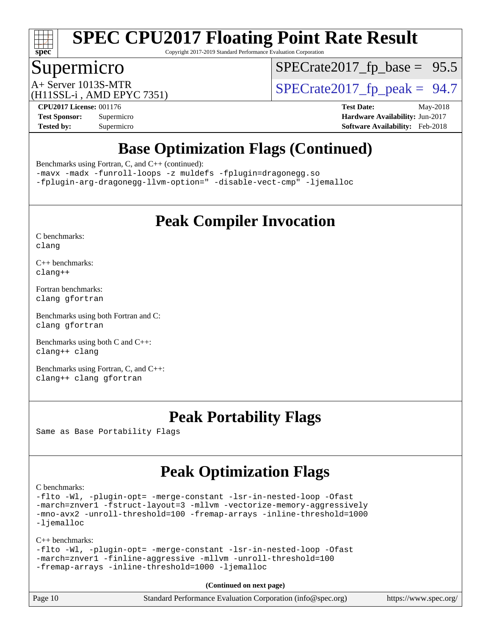

Copyright 2017-2019 Standard Performance Evaluation Corporation

### Supermicro

 $SPECTate2017_fp\_base = 95.5$ 

(H11SSL-i , AMD EPYC 7351)

 $A+$  Server 1013S-MTR<br>  $\langle$ H11SSL-i AMD EPYC 7351) [SPECrate2017\\_fp\\_peak =](http://www.spec.org/auto/cpu2017/Docs/result-fields.html#SPECrate2017fppeak) 94.7

**[CPU2017 License:](http://www.spec.org/auto/cpu2017/Docs/result-fields.html#CPU2017License)** 001176 **[Test Date:](http://www.spec.org/auto/cpu2017/Docs/result-fields.html#TestDate)** May-2018 **[Test Sponsor:](http://www.spec.org/auto/cpu2017/Docs/result-fields.html#TestSponsor)** Supermicro **[Hardware Availability:](http://www.spec.org/auto/cpu2017/Docs/result-fields.html#HardwareAvailability)** Jun-2017 **[Tested by:](http://www.spec.org/auto/cpu2017/Docs/result-fields.html#Testedby)** Supermicro **[Software Availability:](http://www.spec.org/auto/cpu2017/Docs/result-fields.html#SoftwareAvailability)** Feb-2018

# **[Base Optimization Flags \(Continued\)](http://www.spec.org/auto/cpu2017/Docs/result-fields.html#BaseOptimizationFlags)**

[Benchmarks using Fortran, C, and C++](http://www.spec.org/auto/cpu2017/Docs/result-fields.html#BenchmarksusingFortranCandCXX) (continued):

[-mavx](http://www.spec.org/cpu2017/results/res2018q2/cpu2017-20180529-06178.flags.html#user_CC_CXX_FCbase_F-mavx) [-madx](http://www.spec.org/cpu2017/results/res2018q2/cpu2017-20180529-06178.flags.html#user_CC_CXX_FCbase_F-madx) [-funroll-loops](http://www.spec.org/cpu2017/results/res2018q2/cpu2017-20180529-06178.flags.html#user_CC_CXX_FCbase_F-funroll-loops) [-z muldefs](http://www.spec.org/cpu2017/results/res2018q2/cpu2017-20180529-06178.flags.html#user_CC_CXX_FCbase_zmuldefs) [-fplugin=dragonegg.so](http://www.spec.org/cpu2017/results/res2018q2/cpu2017-20180529-06178.flags.html#user_CC_CXX_FCbase_F-fpluginDragonEgg) [-fplugin-arg-dragonegg-llvm-option="](http://www.spec.org/cpu2017/results/res2018q2/cpu2017-20180529-06178.flags.html#user_CC_CXX_FCbase_F-fplugin-arg-dragonegg-llvm-option_98400a9ab866ed0085f1e7306b6fe3b9aac45e0c6ce6c4c776296af40a6f95ac09a5771072dd0b0cdcb566a3e79e79d2a726fc48d436745311228115dad9979d) [-disable-vect-cmp"](http://www.spec.org/cpu2017/results/res2018q2/cpu2017-20180529-06178.flags.html#user_CC_CXX_FCbase_F-dragonegg-llvm-disable-vect-cmp_6cf351a29613b68bfdbd040d3e22ab0ce250093fe1c4f1b0b3e19cc513bf9fe59893782c14402abfbebd018ed2d47d139a1a3c59a802b3eac454540228820b23) [-ljemalloc](http://www.spec.org/cpu2017/results/res2018q2/cpu2017-20180529-06178.flags.html#user_CC_CXX_FCbase_F-ljemalloc)

## **[Peak Compiler Invocation](http://www.spec.org/auto/cpu2017/Docs/result-fields.html#PeakCompilerInvocation)**

[C benchmarks](http://www.spec.org/auto/cpu2017/Docs/result-fields.html#Cbenchmarks): [clang](http://www.spec.org/cpu2017/results/res2018q2/cpu2017-20180529-06178.flags.html#user_CCpeak_Fclang3)

[C++ benchmarks:](http://www.spec.org/auto/cpu2017/Docs/result-fields.html#CXXbenchmarks) [clang++](http://www.spec.org/cpu2017/results/res2018q2/cpu2017-20180529-06178.flags.html#user_CXXpeak_Fclang3_57a48582e5be507d19b2527b3e7d4f85d9b8669ffc9a8a0dbb9bcf949a918a58bbab411e0c4d14a3922022a3e425a90db94042683824c1806feff4324ca1000d)

[Fortran benchmarks](http://www.spec.org/auto/cpu2017/Docs/result-fields.html#Fortranbenchmarks): [clang](http://www.spec.org/cpu2017/results/res2018q2/cpu2017-20180529-06178.flags.html#user_FCpeak_Fclang3) [gfortran](http://www.spec.org/cpu2017/results/res2018q2/cpu2017-20180529-06178.flags.html#user_FCpeak_gfortran)

[Benchmarks using both Fortran and C](http://www.spec.org/auto/cpu2017/Docs/result-fields.html#BenchmarksusingbothFortranandC): [clang](http://www.spec.org/cpu2017/results/res2018q2/cpu2017-20180529-06178.flags.html#user_CC_FCpeak_Fclang3) [gfortran](http://www.spec.org/cpu2017/results/res2018q2/cpu2017-20180529-06178.flags.html#user_CC_FCpeak_gfortran)

[Benchmarks using both C and C++](http://www.spec.org/auto/cpu2017/Docs/result-fields.html#BenchmarksusingbothCandCXX): [clang++](http://www.spec.org/cpu2017/results/res2018q2/cpu2017-20180529-06178.flags.html#user_CC_CXXpeak_Fclang3_57a48582e5be507d19b2527b3e7d4f85d9b8669ffc9a8a0dbb9bcf949a918a58bbab411e0c4d14a3922022a3e425a90db94042683824c1806feff4324ca1000d) [clang](http://www.spec.org/cpu2017/results/res2018q2/cpu2017-20180529-06178.flags.html#user_CC_CXXpeak_Fclang3)

[Benchmarks using Fortran, C, and C++:](http://www.spec.org/auto/cpu2017/Docs/result-fields.html#BenchmarksusingFortranCandCXX) [clang++](http://www.spec.org/cpu2017/results/res2018q2/cpu2017-20180529-06178.flags.html#user_CC_CXX_FCpeak_Fclang3_57a48582e5be507d19b2527b3e7d4f85d9b8669ffc9a8a0dbb9bcf949a918a58bbab411e0c4d14a3922022a3e425a90db94042683824c1806feff4324ca1000d) [clang](http://www.spec.org/cpu2017/results/res2018q2/cpu2017-20180529-06178.flags.html#user_CC_CXX_FCpeak_Fclang3) [gfortran](http://www.spec.org/cpu2017/results/res2018q2/cpu2017-20180529-06178.flags.html#user_CC_CXX_FCpeak_gfortran)

### **[Peak Portability Flags](http://www.spec.org/auto/cpu2017/Docs/result-fields.html#PeakPortabilityFlags)**

Same as Base Portability Flags

# **[Peak Optimization Flags](http://www.spec.org/auto/cpu2017/Docs/result-fields.html#PeakOptimizationFlags)**

[C benchmarks](http://www.spec.org/auto/cpu2017/Docs/result-fields.html#Cbenchmarks):

[-flto](http://www.spec.org/cpu2017/results/res2018q2/cpu2017-20180529-06178.flags.html#user_CCpeak_F-flto) [-Wl,](http://www.spec.org/cpu2017/results/res2018q2/cpu2017-20180529-06178.flags.html#user_CCpeak_F-Wl_5f669859b7c1a0295edc4f5fd536c381023f180a987810cb5cfa1d9467a27ac14b13770b9732d7618b24fc778f3dfdf68b65521d505fc870281e0142944925a0) [-plugin-opt=](http://www.spec.org/cpu2017/results/res2018q2/cpu2017-20180529-06178.flags.html#user_CCpeak_F-plugin-opt_772899571bb6157e4b8feeb3276e6c06dec41c1bbb0aa637c8700742a4baaf7e7b56061e32ae2365a76a44d8c448177ca3ee066cdf7537598ff772fc461942c2) [-merge-constant](http://www.spec.org/cpu2017/results/res2018q2/cpu2017-20180529-06178.flags.html#user_CCpeak_F-merge-constant_bdb3ec75d21d5cf0ab1961ebe7105d0ea3b0c6d89a312cf7efc1d107e6c56c92c36b5d564d0702d1e2526f6b92f188b4413eb5a54b1f9e4a41f5a9bfc0233b92) [-lsr-in-nested-loop](http://www.spec.org/cpu2017/results/res2018q2/cpu2017-20180529-06178.flags.html#user_CCpeak_F-lsr-in-nested-loop) [-Ofast](http://www.spec.org/cpu2017/results/res2018q2/cpu2017-20180529-06178.flags.html#user_CCpeak_F-Ofast) [-march=znver1](http://www.spec.org/cpu2017/results/res2018q2/cpu2017-20180529-06178.flags.html#user_CCpeak_march_082ab2c5e8f99f69c47c63adfdc26f9617958cc68d0b5dbfb7aa6935cde4c91d5d9c2fdc24e6781fa8a0299196f2f4ca8e995f825d797de797910507b4251bb3) [-fstruct-layout=3](http://www.spec.org/cpu2017/results/res2018q2/cpu2017-20180529-06178.flags.html#user_CCpeak_F-fstruct-layout) [-mllvm](http://www.spec.org/cpu2017/results/res2018q2/cpu2017-20180529-06178.flags.html#user_CCpeak_F-mllvm_76e3f86ef8d8cc4dfa84cec42d531db351fee284f72cd5d644b5bdbef9c2604296512be6a431d9e19d0523544399ea9dd745afc2fff755a0705d428460dc659e) [-vectorize-memory-aggressively](http://www.spec.org/cpu2017/results/res2018q2/cpu2017-20180529-06178.flags.html#user_CCpeak_F-vectorize-memory-aggressively) [-mno-avx2](http://www.spec.org/cpu2017/results/res2018q2/cpu2017-20180529-06178.flags.html#user_CCpeak_F-mno-avx2) [-unroll-threshold=100](http://www.spec.org/cpu2017/results/res2018q2/cpu2017-20180529-06178.flags.html#user_CCpeak_F-unroll-threshold) [-fremap-arrays](http://www.spec.org/cpu2017/results/res2018q2/cpu2017-20180529-06178.flags.html#user_CCpeak_F-fremap-arrays) [-inline-threshold=1000](http://www.spec.org/cpu2017/results/res2018q2/cpu2017-20180529-06178.flags.html#user_CCpeak_F-inline-threshold_1daf3e0321a7a0c1ea19068c818f3f119b1e5dfc986cc791557791f4b93536c1546ba0c8585f62303269f504aa232e0ca278e8489928152e32e0752215741730) [-ljemalloc](http://www.spec.org/cpu2017/results/res2018q2/cpu2017-20180529-06178.flags.html#user_CCpeak_F-ljemalloc)

[C++ benchmarks:](http://www.spec.org/auto/cpu2017/Docs/result-fields.html#CXXbenchmarks) [-flto](http://www.spec.org/cpu2017/results/res2018q2/cpu2017-20180529-06178.flags.html#user_CXXpeak_F-flto) [-Wl,](http://www.spec.org/cpu2017/results/res2018q2/cpu2017-20180529-06178.flags.html#user_CXXpeak_F-Wl_5f669859b7c1a0295edc4f5fd536c381023f180a987810cb5cfa1d9467a27ac14b13770b9732d7618b24fc778f3dfdf68b65521d505fc870281e0142944925a0) [-plugin-opt=](http://www.spec.org/cpu2017/results/res2018q2/cpu2017-20180529-06178.flags.html#user_CXXpeak_F-plugin-opt_772899571bb6157e4b8feeb3276e6c06dec41c1bbb0aa637c8700742a4baaf7e7b56061e32ae2365a76a44d8c448177ca3ee066cdf7537598ff772fc461942c2) [-merge-constant](http://www.spec.org/cpu2017/results/res2018q2/cpu2017-20180529-06178.flags.html#user_CXXpeak_F-merge-constant_bdb3ec75d21d5cf0ab1961ebe7105d0ea3b0c6d89a312cf7efc1d107e6c56c92c36b5d564d0702d1e2526f6b92f188b4413eb5a54b1f9e4a41f5a9bfc0233b92) [-lsr-in-nested-loop](http://www.spec.org/cpu2017/results/res2018q2/cpu2017-20180529-06178.flags.html#user_CXXpeak_F-lsr-in-nested-loop) [-Ofast](http://www.spec.org/cpu2017/results/res2018q2/cpu2017-20180529-06178.flags.html#user_CXXpeak_F-Ofast) [-march=znver1](http://www.spec.org/cpu2017/results/res2018q2/cpu2017-20180529-06178.flags.html#user_CXXpeak_march_082ab2c5e8f99f69c47c63adfdc26f9617958cc68d0b5dbfb7aa6935cde4c91d5d9c2fdc24e6781fa8a0299196f2f4ca8e995f825d797de797910507b4251bb3) [-finline-aggressive](http://www.spec.org/cpu2017/results/res2018q2/cpu2017-20180529-06178.flags.html#user_CXXpeak_F-finline-aggressive) [-mllvm](http://www.spec.org/cpu2017/results/res2018q2/cpu2017-20180529-06178.flags.html#user_CXXpeak_F-mllvm_76e3f86ef8d8cc4dfa84cec42d531db351fee284f72cd5d644b5bdbef9c2604296512be6a431d9e19d0523544399ea9dd745afc2fff755a0705d428460dc659e) [-unroll-threshold=100](http://www.spec.org/cpu2017/results/res2018q2/cpu2017-20180529-06178.flags.html#user_CXXpeak_F-unroll-threshold) [-fremap-arrays](http://www.spec.org/cpu2017/results/res2018q2/cpu2017-20180529-06178.flags.html#user_CXXpeak_F-fremap-arrays) [-inline-threshold=1000](http://www.spec.org/cpu2017/results/res2018q2/cpu2017-20180529-06178.flags.html#user_CXXpeak_F-inline-threshold_1daf3e0321a7a0c1ea19068c818f3f119b1e5dfc986cc791557791f4b93536c1546ba0c8585f62303269f504aa232e0ca278e8489928152e32e0752215741730) [-ljemalloc](http://www.spec.org/cpu2017/results/res2018q2/cpu2017-20180529-06178.flags.html#user_CXXpeak_F-ljemalloc)

| Page 10 | Standard Performance Evaluation Corporation (info@spec.org) | https://www.spec.org/ |
|---------|-------------------------------------------------------------|-----------------------|
|---------|-------------------------------------------------------------|-----------------------|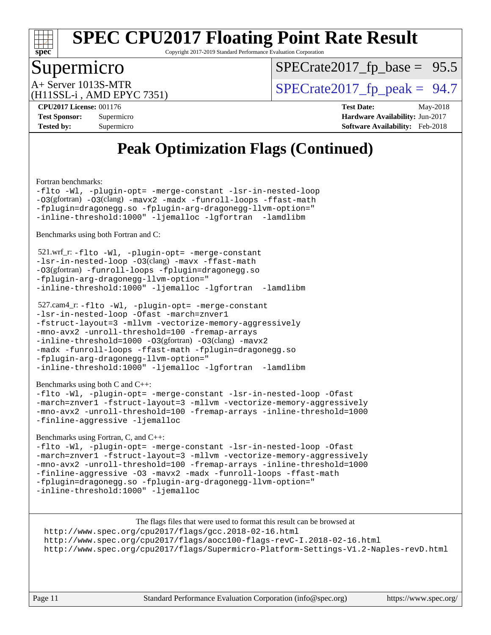

Copyright 2017-2019 Standard Performance Evaluation Corporation

### Supermicro

 $SPECTate2017_fp\_base = 95.5$ 

(H11SSL-i , AMD EPYC 7351)

 $A+$  Server 1013S-MTR<br>  $\langle$ H11SSL-i AMD EPYC 7351) [SPECrate2017\\_fp\\_peak =](http://www.spec.org/auto/cpu2017/Docs/result-fields.html#SPECrate2017fppeak) 94.7

**[CPU2017 License:](http://www.spec.org/auto/cpu2017/Docs/result-fields.html#CPU2017License)** 001176 **[Test Date:](http://www.spec.org/auto/cpu2017/Docs/result-fields.html#TestDate)** May-2018 **[Test Sponsor:](http://www.spec.org/auto/cpu2017/Docs/result-fields.html#TestSponsor)** Supermicro **[Hardware Availability:](http://www.spec.org/auto/cpu2017/Docs/result-fields.html#HardwareAvailability)** Jun-2017 **[Tested by:](http://www.spec.org/auto/cpu2017/Docs/result-fields.html#Testedby)** Supermicro **[Software Availability:](http://www.spec.org/auto/cpu2017/Docs/result-fields.html#SoftwareAvailability)** Feb-2018

# **[Peak Optimization Flags \(Continued\)](http://www.spec.org/auto/cpu2017/Docs/result-fields.html#PeakOptimizationFlags)**

[Fortran benchmarks](http://www.spec.org/auto/cpu2017/Docs/result-fields.html#Fortranbenchmarks):

[-flto](http://www.spec.org/cpu2017/results/res2018q2/cpu2017-20180529-06178.flags.html#user_FCpeak_F-flto) [-Wl,](http://www.spec.org/cpu2017/results/res2018q2/cpu2017-20180529-06178.flags.html#user_FCpeak_F-Wl_5f669859b7c1a0295edc4f5fd536c381023f180a987810cb5cfa1d9467a27ac14b13770b9732d7618b24fc778f3dfdf68b65521d505fc870281e0142944925a0) [-plugin-opt=](http://www.spec.org/cpu2017/results/res2018q2/cpu2017-20180529-06178.flags.html#user_FCpeak_F-plugin-opt_772899571bb6157e4b8feeb3276e6c06dec41c1bbb0aa637c8700742a4baaf7e7b56061e32ae2365a76a44d8c448177ca3ee066cdf7537598ff772fc461942c2) [-merge-constant](http://www.spec.org/cpu2017/results/res2018q2/cpu2017-20180529-06178.flags.html#user_FCpeak_F-merge-constant_bdb3ec75d21d5cf0ab1961ebe7105d0ea3b0c6d89a312cf7efc1d107e6c56c92c36b5d564d0702d1e2526f6b92f188b4413eb5a54b1f9e4a41f5a9bfc0233b92) [-lsr-in-nested-loop](http://www.spec.org/cpu2017/results/res2018q2/cpu2017-20180529-06178.flags.html#user_FCpeak_F-lsr-in-nested-loop) [-O3](http://www.spec.org/cpu2017/results/res2018q2/cpu2017-20180529-06178.flags.html#user_FCpeak_Olevel-gcc_2a8c613e11e2962ae78d693398304d6f1c12fa10320380cff05dd109643c60bb04214353a55f02d8022371d19f6dd940085da69c3a4516b2b7029e64f867e782)(gfortran) [-O3](http://www.spec.org/cpu2017/results/res2018q2/cpu2017-20180529-06178.flags.html#user_FCpeak_F-O3)(clang) [-mavx2](http://www.spec.org/cpu2017/results/res2018q2/cpu2017-20180529-06178.flags.html#user_FCpeak_F-mavx2) [-madx](http://www.spec.org/cpu2017/results/res2018q2/cpu2017-20180529-06178.flags.html#user_FCpeak_F-madx) [-funroll-loops](http://www.spec.org/cpu2017/results/res2018q2/cpu2017-20180529-06178.flags.html#user_FCpeak_F-funroll-loops) [-ffast-math](http://www.spec.org/cpu2017/results/res2018q2/cpu2017-20180529-06178.flags.html#user_FCpeak_F-ffast-math) [-fplugin=dragonegg.so](http://www.spec.org/cpu2017/results/res2018q2/cpu2017-20180529-06178.flags.html#user_FCpeak_F-fpluginDragonEgg) [-fplugin-arg-dragonegg-llvm-option="](http://www.spec.org/cpu2017/results/res2018q2/cpu2017-20180529-06178.flags.html#user_FCpeak_F-fplugin-arg-dragonegg-llvm-option_98400a9ab866ed0085f1e7306b6fe3b9aac45e0c6ce6c4c776296af40a6f95ac09a5771072dd0b0cdcb566a3e79e79d2a726fc48d436745311228115dad9979d) [-inline-threshold:1000"](http://www.spec.org/cpu2017/results/res2018q2/cpu2017-20180529-06178.flags.html#user_FCpeak_F-dragonegg-llvm-inline-threshold_07e61fd64d703e09a3d6c9aee6ac288c2f7760387fb253286b0ad61651eb62a3a8ac21dc1f35cedb13440b70bea3f6cc5470d6ba8f82ad27d00629d560a26e62) [-ljemalloc](http://www.spec.org/cpu2017/results/res2018q2/cpu2017-20180529-06178.flags.html#user_FCpeak_F-ljemalloc) [-lgfortran](http://www.spec.org/cpu2017/results/res2018q2/cpu2017-20180529-06178.flags.html#user_FCpeak_F-lgfortran_aee53aa7918ae35ea4e5035d616421204ae8a638c05873868b1aa8743e73ef3f738c1d9cddaea8bce7f96e18015ec2f72d6588008f90a113075c46bd34a5e3c3) [-lamdlibm](http://www.spec.org/cpu2017/results/res2018q2/cpu2017-20180529-06178.flags.html#user_FCpeak_F-lamdlibm_1db3d84841b8a1b4efe9441895380ccb52ec69ae4c885fce609f880d1f58d8b3c2693ad984247faf1d5c0b0abc492f2987ed2911d4dbfc830003ff87fe5a2273) 

[Benchmarks using both Fortran and C](http://www.spec.org/auto/cpu2017/Docs/result-fields.html#BenchmarksusingbothFortranandC):

```
 521.wrf_r: -flto -Wl, -plugin-opt= -merge-constant
-lsr-in-nested-loop -O3(clang) -mavx -ffast-math
-O3(gfortran) -funroll-loops -fplugin=dragonegg.so
-fplugin-arg-dragonegg-llvm-option="
-inline-threshold:1000" -ljemalloc -lgfortran -lamdlibm
```

```
 527.cam4_r: -flto -Wl, -plugin-opt= -merge-constant
-lsr-in-nested-loop -Ofast -march=znver1
-fstruct-layout=3 -mllvm -vectorize-memory-aggressively
-mno-avx2 -unroll-threshold=100 -fremap-arrays
-inline-threshold=1000 -O3(gfortran) -O3(clang) -mavx2
-madx -funroll-loops -ffast-math -fplugin=dragonegg.so
-fplugin-arg-dragonegg-llvm-option="
-inline-threshold:1000" -ljemalloc -lgfortran -lamdlibm
```
[Benchmarks using both C and C++](http://www.spec.org/auto/cpu2017/Docs/result-fields.html#BenchmarksusingbothCandCXX):

[-flto](http://www.spec.org/cpu2017/results/res2018q2/cpu2017-20180529-06178.flags.html#user_CC_CXXpeak_F-flto) [-Wl,](http://www.spec.org/cpu2017/results/res2018q2/cpu2017-20180529-06178.flags.html#user_CC_CXXpeak_F-Wl_5f669859b7c1a0295edc4f5fd536c381023f180a987810cb5cfa1d9467a27ac14b13770b9732d7618b24fc778f3dfdf68b65521d505fc870281e0142944925a0) [-plugin-opt=](http://www.spec.org/cpu2017/results/res2018q2/cpu2017-20180529-06178.flags.html#user_CC_CXXpeak_F-plugin-opt_772899571bb6157e4b8feeb3276e6c06dec41c1bbb0aa637c8700742a4baaf7e7b56061e32ae2365a76a44d8c448177ca3ee066cdf7537598ff772fc461942c2) [-merge-constant](http://www.spec.org/cpu2017/results/res2018q2/cpu2017-20180529-06178.flags.html#user_CC_CXXpeak_F-merge-constant_bdb3ec75d21d5cf0ab1961ebe7105d0ea3b0c6d89a312cf7efc1d107e6c56c92c36b5d564d0702d1e2526f6b92f188b4413eb5a54b1f9e4a41f5a9bfc0233b92) [-lsr-in-nested-loop](http://www.spec.org/cpu2017/results/res2018q2/cpu2017-20180529-06178.flags.html#user_CC_CXXpeak_F-lsr-in-nested-loop) [-Ofast](http://www.spec.org/cpu2017/results/res2018q2/cpu2017-20180529-06178.flags.html#user_CC_CXXpeak_F-Ofast) [-march=znver1](http://www.spec.org/cpu2017/results/res2018q2/cpu2017-20180529-06178.flags.html#user_CC_CXXpeak_march_082ab2c5e8f99f69c47c63adfdc26f9617958cc68d0b5dbfb7aa6935cde4c91d5d9c2fdc24e6781fa8a0299196f2f4ca8e995f825d797de797910507b4251bb3) [-fstruct-layout=3](http://www.spec.org/cpu2017/results/res2018q2/cpu2017-20180529-06178.flags.html#user_CC_CXXpeak_F-fstruct-layout) [-mllvm](http://www.spec.org/cpu2017/results/res2018q2/cpu2017-20180529-06178.flags.html#user_CC_CXXpeak_F-mllvm_76e3f86ef8d8cc4dfa84cec42d531db351fee284f72cd5d644b5bdbef9c2604296512be6a431d9e19d0523544399ea9dd745afc2fff755a0705d428460dc659e) [-vectorize-memory-aggressively](http://www.spec.org/cpu2017/results/res2018q2/cpu2017-20180529-06178.flags.html#user_CC_CXXpeak_F-vectorize-memory-aggressively) [-mno-avx2](http://www.spec.org/cpu2017/results/res2018q2/cpu2017-20180529-06178.flags.html#user_CC_CXXpeak_F-mno-avx2) [-unroll-threshold=100](http://www.spec.org/cpu2017/results/res2018q2/cpu2017-20180529-06178.flags.html#user_CC_CXXpeak_F-unroll-threshold) [-fremap-arrays](http://www.spec.org/cpu2017/results/res2018q2/cpu2017-20180529-06178.flags.html#user_CC_CXXpeak_F-fremap-arrays) [-inline-threshold=1000](http://www.spec.org/cpu2017/results/res2018q2/cpu2017-20180529-06178.flags.html#user_CC_CXXpeak_F-inline-threshold_1daf3e0321a7a0c1ea19068c818f3f119b1e5dfc986cc791557791f4b93536c1546ba0c8585f62303269f504aa232e0ca278e8489928152e32e0752215741730) [-finline-aggressive](http://www.spec.org/cpu2017/results/res2018q2/cpu2017-20180529-06178.flags.html#user_CC_CXXpeak_F-finline-aggressive) [-ljemalloc](http://www.spec.org/cpu2017/results/res2018q2/cpu2017-20180529-06178.flags.html#user_CC_CXXpeak_F-ljemalloc)

[Benchmarks using Fortran, C, and C++:](http://www.spec.org/auto/cpu2017/Docs/result-fields.html#BenchmarksusingFortranCandCXX)

[-flto](http://www.spec.org/cpu2017/results/res2018q2/cpu2017-20180529-06178.flags.html#user_CC_CXX_FCpeak_F-flto) [-Wl,](http://www.spec.org/cpu2017/results/res2018q2/cpu2017-20180529-06178.flags.html#user_CC_CXX_FCpeak_F-Wl_5f669859b7c1a0295edc4f5fd536c381023f180a987810cb5cfa1d9467a27ac14b13770b9732d7618b24fc778f3dfdf68b65521d505fc870281e0142944925a0) [-plugin-opt=](http://www.spec.org/cpu2017/results/res2018q2/cpu2017-20180529-06178.flags.html#user_CC_CXX_FCpeak_F-plugin-opt_772899571bb6157e4b8feeb3276e6c06dec41c1bbb0aa637c8700742a4baaf7e7b56061e32ae2365a76a44d8c448177ca3ee066cdf7537598ff772fc461942c2) [-merge-constant](http://www.spec.org/cpu2017/results/res2018q2/cpu2017-20180529-06178.flags.html#user_CC_CXX_FCpeak_F-merge-constant_bdb3ec75d21d5cf0ab1961ebe7105d0ea3b0c6d89a312cf7efc1d107e6c56c92c36b5d564d0702d1e2526f6b92f188b4413eb5a54b1f9e4a41f5a9bfc0233b92) [-lsr-in-nested-loop](http://www.spec.org/cpu2017/results/res2018q2/cpu2017-20180529-06178.flags.html#user_CC_CXX_FCpeak_F-lsr-in-nested-loop) [-Ofast](http://www.spec.org/cpu2017/results/res2018q2/cpu2017-20180529-06178.flags.html#user_CC_CXX_FCpeak_F-Ofast) [-march=znver1](http://www.spec.org/cpu2017/results/res2018q2/cpu2017-20180529-06178.flags.html#user_CC_CXX_FCpeak_march_082ab2c5e8f99f69c47c63adfdc26f9617958cc68d0b5dbfb7aa6935cde4c91d5d9c2fdc24e6781fa8a0299196f2f4ca8e995f825d797de797910507b4251bb3) [-fstruct-layout=3](http://www.spec.org/cpu2017/results/res2018q2/cpu2017-20180529-06178.flags.html#user_CC_CXX_FCpeak_F-fstruct-layout) [-mllvm](http://www.spec.org/cpu2017/results/res2018q2/cpu2017-20180529-06178.flags.html#user_CC_CXX_FCpeak_F-mllvm_76e3f86ef8d8cc4dfa84cec42d531db351fee284f72cd5d644b5bdbef9c2604296512be6a431d9e19d0523544399ea9dd745afc2fff755a0705d428460dc659e) [-vectorize-memory-aggressively](http://www.spec.org/cpu2017/results/res2018q2/cpu2017-20180529-06178.flags.html#user_CC_CXX_FCpeak_F-vectorize-memory-aggressively) [-mno-avx2](http://www.spec.org/cpu2017/results/res2018q2/cpu2017-20180529-06178.flags.html#user_CC_CXX_FCpeak_F-mno-avx2) [-unroll-threshold=100](http://www.spec.org/cpu2017/results/res2018q2/cpu2017-20180529-06178.flags.html#user_CC_CXX_FCpeak_F-unroll-threshold) [-fremap-arrays](http://www.spec.org/cpu2017/results/res2018q2/cpu2017-20180529-06178.flags.html#user_CC_CXX_FCpeak_F-fremap-arrays) [-inline-threshold=1000](http://www.spec.org/cpu2017/results/res2018q2/cpu2017-20180529-06178.flags.html#user_CC_CXX_FCpeak_F-inline-threshold_1daf3e0321a7a0c1ea19068c818f3f119b1e5dfc986cc791557791f4b93536c1546ba0c8585f62303269f504aa232e0ca278e8489928152e32e0752215741730) [-finline-aggressive](http://www.spec.org/cpu2017/results/res2018q2/cpu2017-20180529-06178.flags.html#user_CC_CXX_FCpeak_F-finline-aggressive) [-O3](http://www.spec.org/cpu2017/results/res2018q2/cpu2017-20180529-06178.flags.html#user_CC_CXX_FCpeak_Olevel-gcc_2a8c613e11e2962ae78d693398304d6f1c12fa10320380cff05dd109643c60bb04214353a55f02d8022371d19f6dd940085da69c3a4516b2b7029e64f867e782) [-mavx2](http://www.spec.org/cpu2017/results/res2018q2/cpu2017-20180529-06178.flags.html#user_CC_CXX_FCpeak_F-mavx2) [-madx](http://www.spec.org/cpu2017/results/res2018q2/cpu2017-20180529-06178.flags.html#user_CC_CXX_FCpeak_F-madx) [-funroll-loops](http://www.spec.org/cpu2017/results/res2018q2/cpu2017-20180529-06178.flags.html#user_CC_CXX_FCpeak_F-funroll-loops) [-ffast-math](http://www.spec.org/cpu2017/results/res2018q2/cpu2017-20180529-06178.flags.html#user_CC_CXX_FCpeak_F-ffast-math) [-fplugin=dragonegg.so](http://www.spec.org/cpu2017/results/res2018q2/cpu2017-20180529-06178.flags.html#user_CC_CXX_FCpeak_F-fpluginDragonEgg) [-fplugin-arg-dragonegg-llvm-option="](http://www.spec.org/cpu2017/results/res2018q2/cpu2017-20180529-06178.flags.html#user_CC_CXX_FCpeak_F-fplugin-arg-dragonegg-llvm-option_98400a9ab866ed0085f1e7306b6fe3b9aac45e0c6ce6c4c776296af40a6f95ac09a5771072dd0b0cdcb566a3e79e79d2a726fc48d436745311228115dad9979d) [-inline-threshold:1000"](http://www.spec.org/cpu2017/results/res2018q2/cpu2017-20180529-06178.flags.html#user_CC_CXX_FCpeak_F-dragonegg-llvm-inline-threshold_07e61fd64d703e09a3d6c9aee6ac288c2f7760387fb253286b0ad61651eb62a3a8ac21dc1f35cedb13440b70bea3f6cc5470d6ba8f82ad27d00629d560a26e62) [-ljemalloc](http://www.spec.org/cpu2017/results/res2018q2/cpu2017-20180529-06178.flags.html#user_CC_CXX_FCpeak_F-ljemalloc)

The flags files that were used to format this result can be browsed at <http://www.spec.org/cpu2017/flags/gcc.2018-02-16.html> <http://www.spec.org/cpu2017/flags/aocc100-flags-revC-I.2018-02-16.html> <http://www.spec.org/cpu2017/flags/Supermicro-Platform-Settings-V1.2-Naples-revD.html>